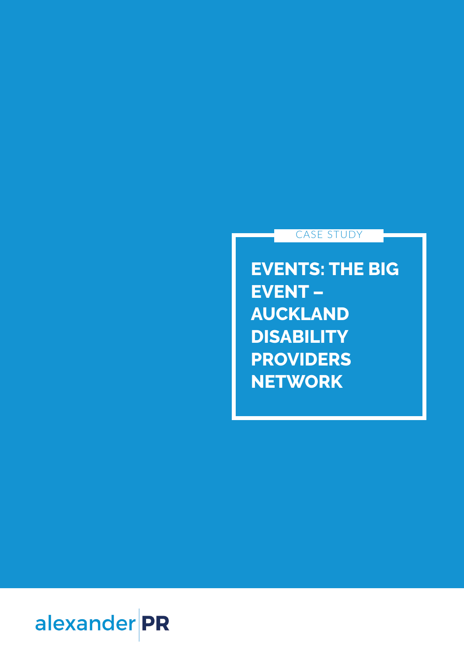## CASE STUDY

**EVENTS: THE BIG EVENT – AUCKLAND DISABILITY PROVIDERS NETWORK**

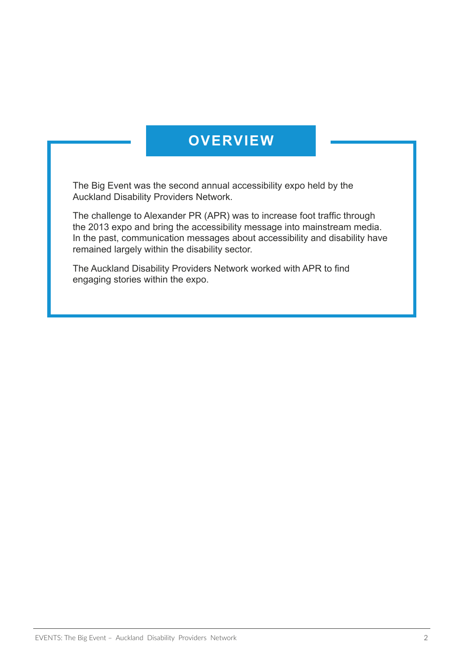## **OVERVIEW**

The Big Event was the second annual accessibility expo held by the Auckland Disability Providers Network.

The challenge to Alexander PR (APR) was to increase foot traffic through the 2013 expo and bring the accessibility message into mainstream media. In the past, communication messages about accessibility and disability have remained largely within the disability sector.

The Auckland Disability Providers Network worked with APR to find engaging stories within the expo.